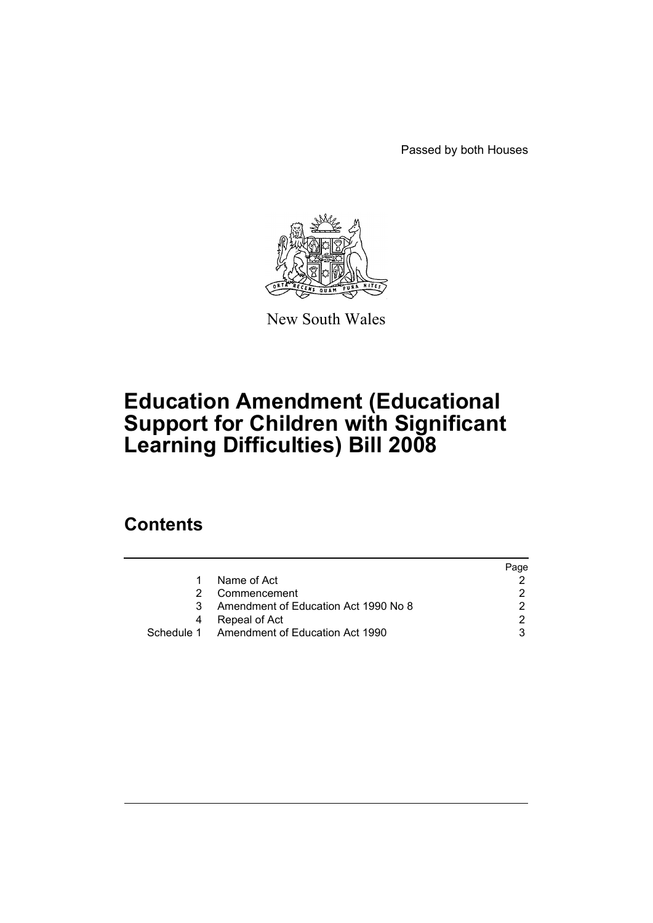Passed by both Houses



New South Wales

# **Education Amendment (Educational Support for Children with Significant Learning Difficulties) Bill 2008**

### **Contents**

|    |                                            | Page |
|----|--------------------------------------------|------|
| 1. | Name of Act                                |      |
|    | Commencement                               |      |
| 3  | Amendment of Education Act 1990 No 8       |      |
|    | Repeal of Act                              |      |
|    | Schedule 1 Amendment of Education Act 1990 |      |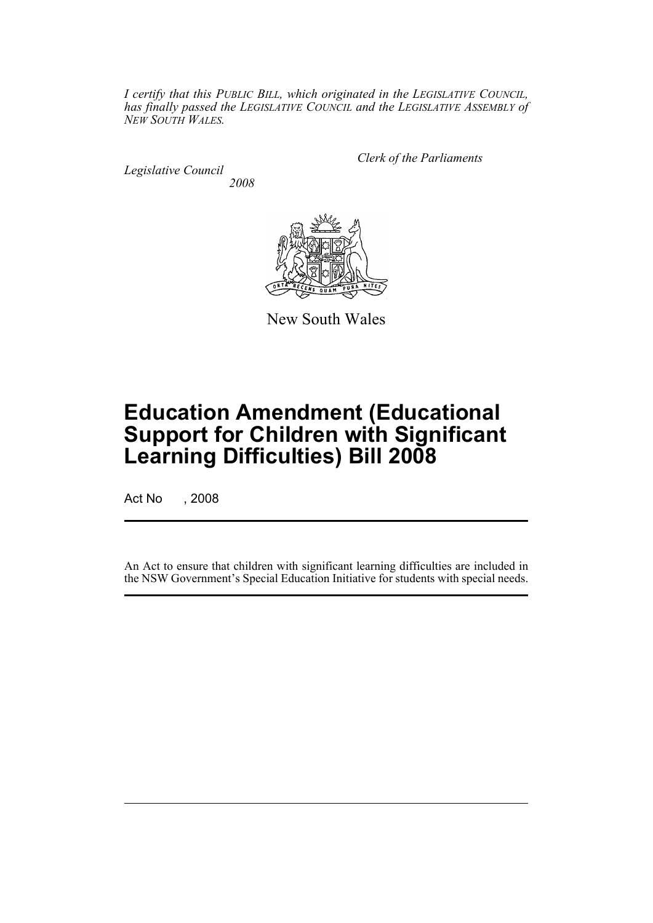*I certify that this PUBLIC BILL, which originated in the LEGISLATIVE COUNCIL, has finally passed the LEGISLATIVE COUNCIL and the LEGISLATIVE ASSEMBLY of NEW SOUTH WALES.*

*Legislative Council 2008* *Clerk of the Parliaments*



New South Wales

# **Education Amendment (Educational Support for Children with Significant Learning Difficulties) Bill 2008**

Act No , 2008

An Act to ensure that children with significant learning difficulties are included in the NSW Government's Special Education Initiative for students with special needs.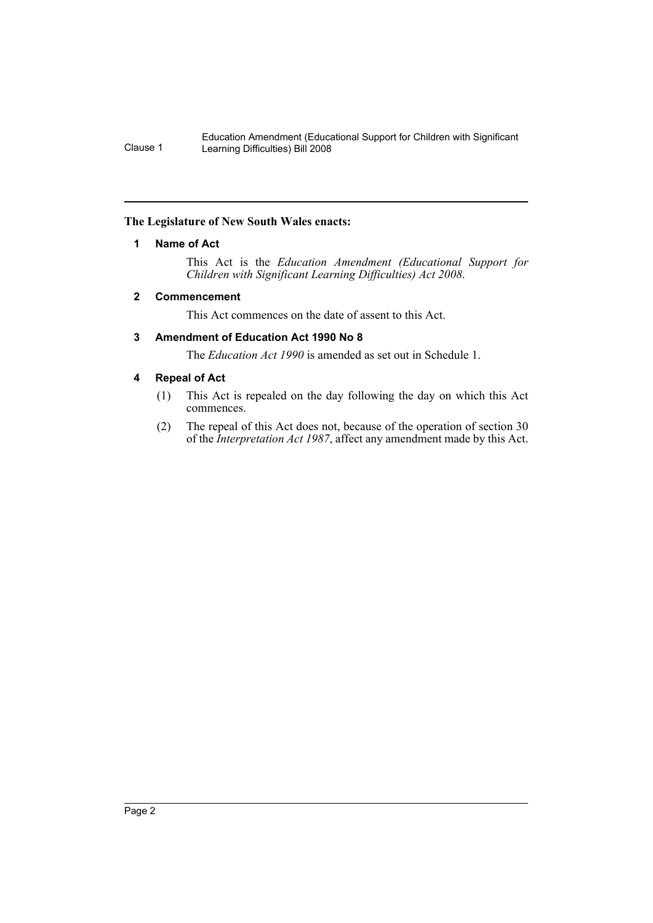Education Amendment (Educational Support for Children with Significant Clause 1 Learning Difficulties) Bill 2008

#### <span id="page-2-0"></span>**The Legislature of New South Wales enacts:**

#### **1 Name of Act**

This Act is the *Education Amendment (Educational Support for Children with Significant Learning Difficulties) Act 2008*.

#### <span id="page-2-1"></span>**2 Commencement**

This Act commences on the date of assent to this Act.

#### <span id="page-2-2"></span>**3 Amendment of Education Act 1990 No 8**

The *Education Act 1990* is amended as set out in Schedule 1.

#### <span id="page-2-3"></span>**4 Repeal of Act**

- (1) This Act is repealed on the day following the day on which this Act commences.
- (2) The repeal of this Act does not, because of the operation of section 30 of the *Interpretation Act 1987*, affect any amendment made by this Act.